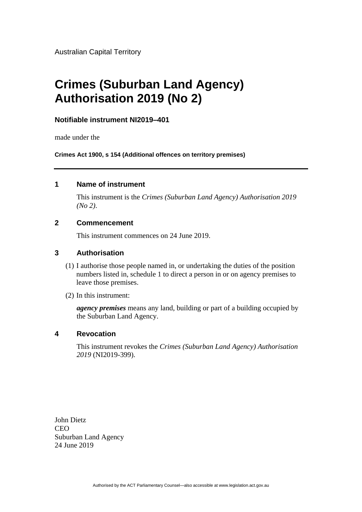Australian Capital Territory

# **Crimes (Suburban Land Agency) Authorisation 2019 (No 2)**

#### **Notifiable instrument NI2019–401**

made under the

**Crimes Act 1900, s 154 (Additional offences on territory premises)**

#### **1 Name of instrument**

This instrument is the *Crimes (Suburban Land Agency) Authorisation 2019 (No 2)*.

#### **2 Commencement**

This instrument commences on 24 June 2019.

#### **3 Authorisation**

- (1) I authorise those people named in, or undertaking the duties of the position numbers listed in, schedule 1 to direct a person in or on agency premises to leave those premises.
- (2) In this instrument:

*agency premises* means any land, building or part of a building occupied by the Suburban Land Agency.

#### **4 Revocation**

This instrument revokes the *Crimes (Suburban Land Agency) Authorisation 2019* (NI2019-399).

John Dietz **CEO** Suburban Land Agency 24 June 2019